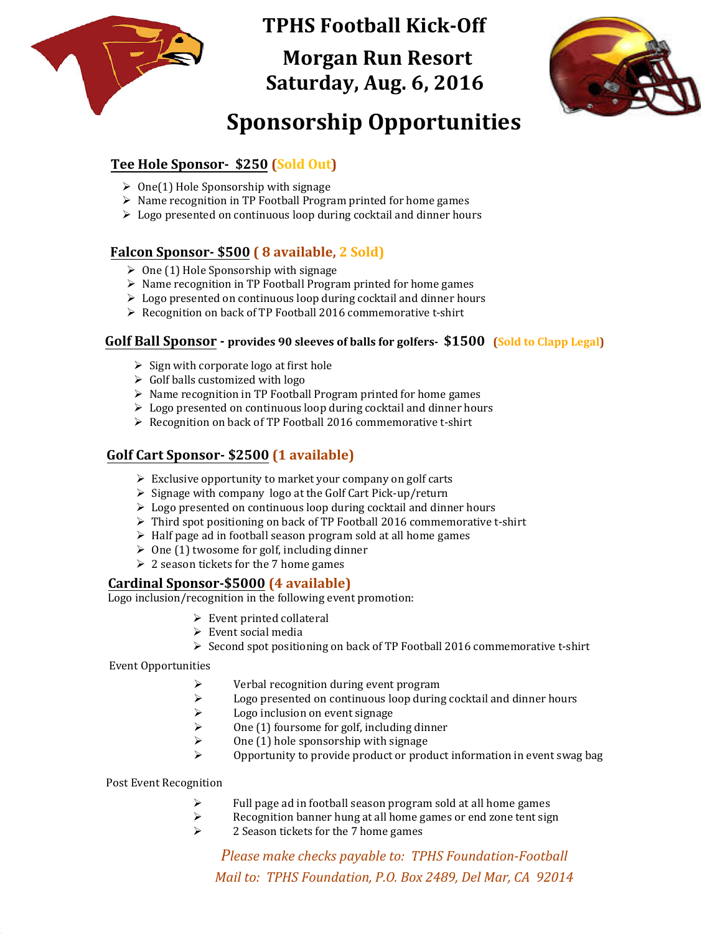

**TPHS Football Kick-Off**

 **Morgan Run Resort Saturday, Aug. 6, 2016**



# **Sponsorship Opportunities**

## **Tee Hole Sponsor- \$250 (Sold Out)**

- $\geq$  One(1) Hole Sponsorship with signage
- $\triangleright$  Name recognition in TP Football Program printed for home games
- $\triangleright$  Logo presented on continuous loop during cocktail and dinner hours

# **Falcon Sponsor- \$500 ( 8 available, 2 Sold)**

- $\geq$  One (1) Hole Sponsorship with signage
- $\triangleright$  Name recognition in TP Football Program printed for home games
- $\triangleright$  Logo presented on continuous loop during cocktail and dinner hours
- $\triangleright$  Recognition on back of TP Football 2016 commemorative t-shirt

#### **Golf Ball Sponsor - provides 90 sleeves of balls for golfers- \$1500 (Sold to Clapp Legal)**

- $\triangleright$  Sign with corporate logo at first hole
- $\triangleright$  Golf balls customized with logo
- $\triangleright$  Name recognition in TP Football Program printed for home games
- $\triangleright$  Logo presented on continuous loop during cocktail and dinner hours
- ▶ Recognition on back of TP Football 2016 commemorative t-shirt

### **Golf Cart Sponsor- \$2500 (1 available)**

- $\triangleright$  Exclusive opportunity to market your company on golf carts
- $\triangleright$  Signage with company logo at the Golf Cart Pick-up/return
- $\triangleright$  Logo presented on continuous loop during cocktail and dinner hours
- $\triangleright$  Third spot positioning on back of TP Football 2016 commemorative t-shirt
- $\triangleright$  Half page ad in football season program sold at all home games
- $\geq$  0ne (1) twosome for golf, including dinner
- $\geq 2$  season tickets for the 7 home games

#### **Cardinal Sponsor-\$5000 (4 available)**

Logo inclusion/recognition in the following event promotion:

- $\triangleright$  Event printed collateral
- $\triangleright$  Event social media
- $\triangleright$  Second spot positioning on back of TP Football 2016 commemorative t-shirt

Event Opportunities

- $\triangleright$  Verbal recognition during event program<br> $\triangleright$  Logo presented on continuous loop during
- $\triangleright$  Logo presented on continuous loop during cocktail and dinner hours<br>  $\triangleright$  Logo inclusion on event signage
- $\geq$  Logo inclusion on event signage<br> $\geq$  One (1) foursome for golf, include
- $\geq$  One (1) foursome for golf, including dinner<br> $\geq$  One (1) hole sponsorship with signage
- One (1) hole sponsorship with signage
- Opportunity to provide product or product information in event swag bag

#### Post Event Recognition

- $\triangleright$  Full page ad in football season program sold at all home games<br> $\triangleright$  Recognition banner hung at all home games or end zone tent sig
- Recognition banner hung at all home games or end zone tent sign<br>  $\geq$  2. Season tickets for the 7 home games
- 2 Season tickets for the 7 home games

*Please make checks payable to: TPHS Foundation-Football Mail to: TPHS Foundation, P.O. Box 2489, Del Mar, CA 92014*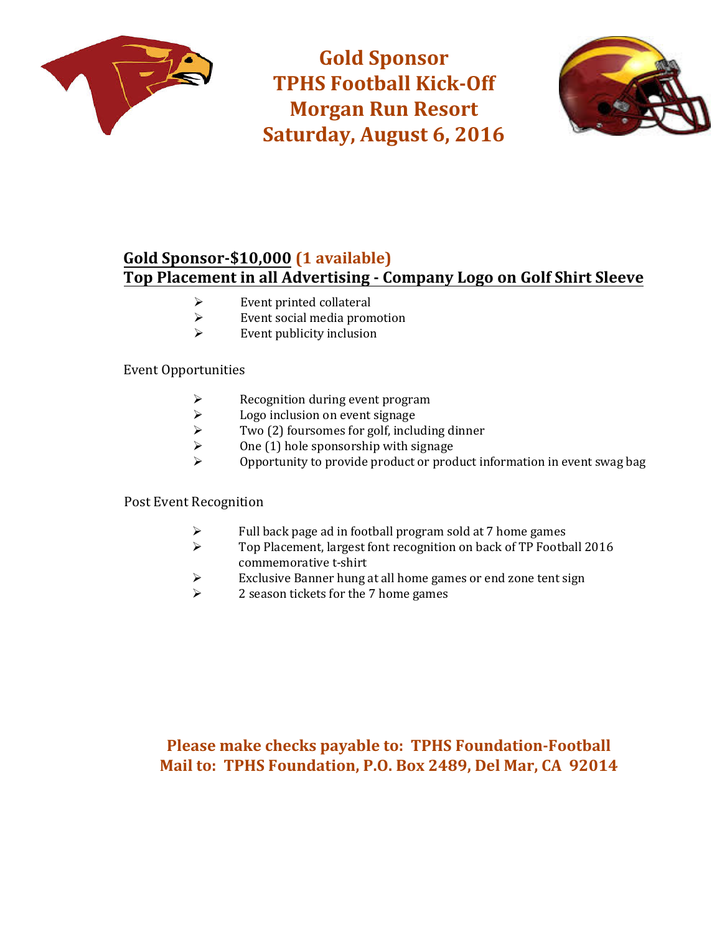

**Gold Sponsor TPHS Football Kick-Off Morgan Run Resort Saturday, August 6, 2016**



# **Gold Sponsor-\$10,000 (1 available) Top Placement in all Advertising - Company Logo on Golf Shirt Sleeve**

- $\triangleright$  Event printed collateral<br> $\triangleright$  Event social media prom
- $\triangleright$  Event social media promotion<br> $\triangleright$  Event publicity inclusion
- Event publicity inclusion

#### Event Opportunities

- $\triangleright$  Recognition during event program<br> $\triangleright$  Logo inclusion on event signage
- $\geq$  Logo inclusion on event signage<br> $\geq$  Two (2) foursomes for golf, inclu
- $\triangleright$  Two (2) foursomes for golf, including dinner<br>  $\triangleright$  One (1) hole sponsorship with signage
- One (1) hole sponsorship with signage
- Opportunity to provide product or product information in event swag bag

#### Post Event Recognition

- $\triangleright$  Full back page ad in football program sold at 7 home games<br> $\triangleright$  Top Placement, largest font recognition on back of TP Footb
- Top Placement, largest font recognition on back of TP Football 2016 commemorative t-shirt
- Exclusive Banner hung at all home games or end zone tent sign<br>  $\geq$  2 season tickets for the 7 home games
- 2 season tickets for the 7 home games

# **Please make checks payable to: TPHS Foundation-Football Mail to: TPHS Foundation, P.O. Box 2489, Del Mar, CA 92014**